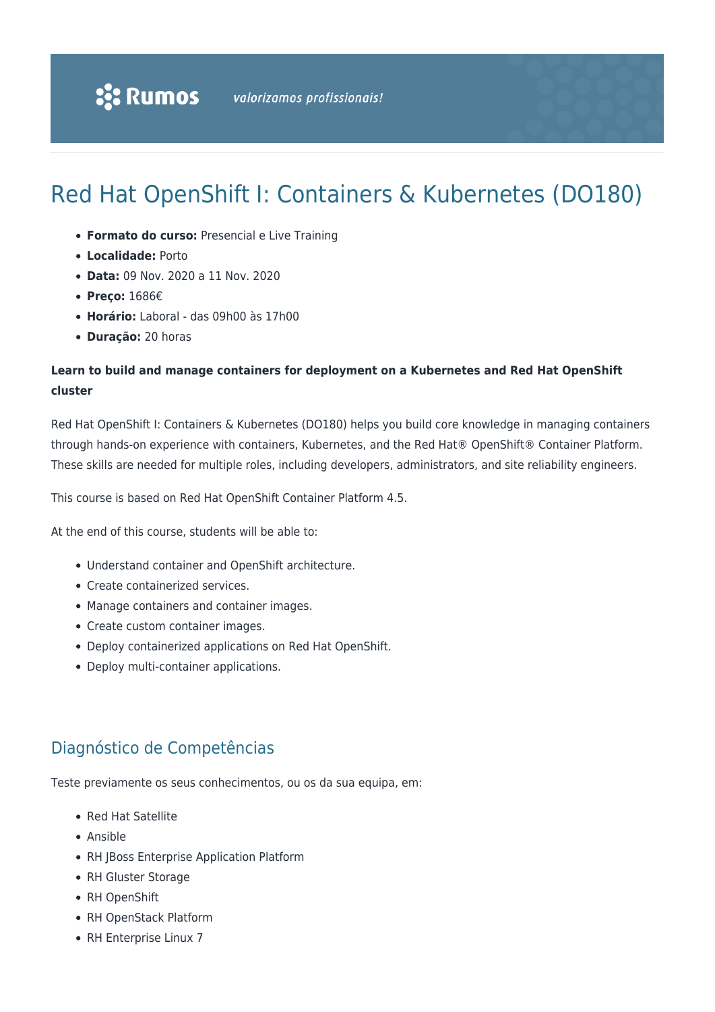# Red Hat OpenShift I: Containers & Kubernetes (DO180)

- **Formato do curso:** Presencial e Live Training
- **Localidade:** Porto
- **Data:** 09 Nov. 2020 a 11 Nov. 2020
- **Preço:** 1686€
- **Horário:** Laboral das 09h00 às 17h00
- **Duração:** 20 horas

### **Learn to build and manage containers for deployment on a Kubernetes and Red Hat OpenShift cluster**

Red Hat OpenShift I: Containers & Kubernetes (DO180) helps you build core knowledge in managing containers through hands-on experience with containers, Kubernetes, and the Red Hat® OpenShift® Container Platform. These skills are needed for multiple roles, including developers, administrators, and site reliability engineers.

This course is based on Red Hat OpenShift Container Platform 4.5.

At the end of this course, students will be able to:

- Understand container and OpenShift architecture.
- Create containerized services.
- Manage containers and container images.
- Create custom container images.
- Deploy containerized applications on Red Hat OpenShift.
- Deploy multi-container applications.

### Diagnóstico de Competências

Teste previamente os seus conhecimentos, ou os da sua equipa, em:

- Red Hat Satellite
- Ansible
- RH JBoss Enterprise Application Platform
- RH Gluster Storage
- RH OpenShift
- RH OpenStack Platform
- RH Enterprise Linux 7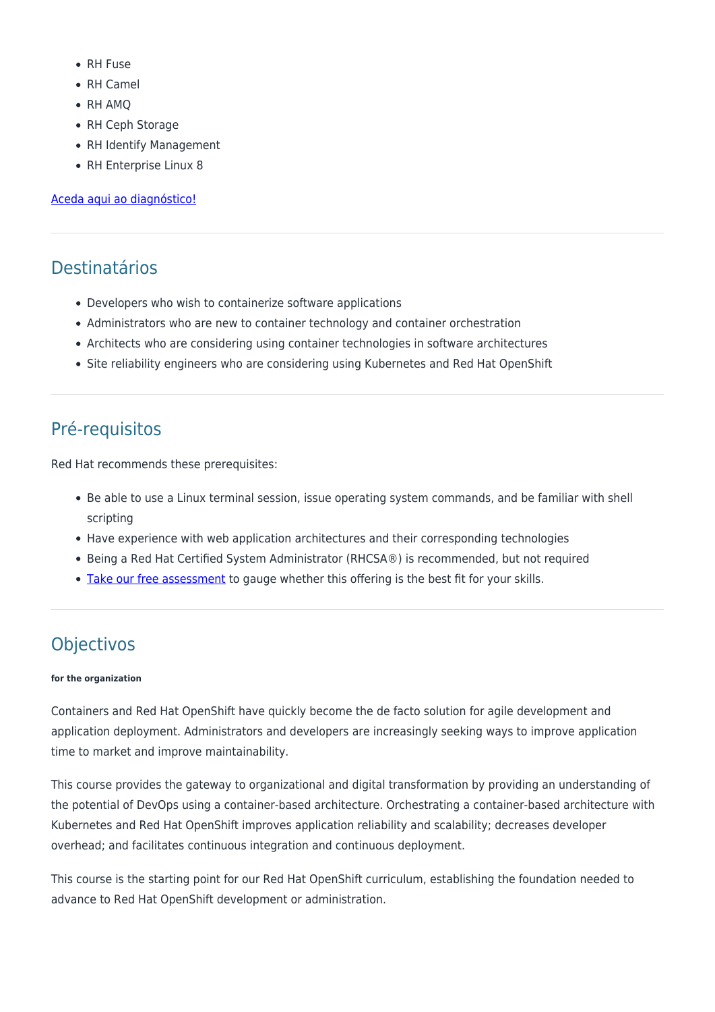- RH Fuse
- RH Camel
- RH AMQ
- RH Ceph Storage
- RH Identify Management
- RH Enterprise Linux 8

#### [Aceda aqui ao diagnóstico!](https://www.redhat.com/rhtapps/assessment/?partner=rumos)

## Destinatários

- Developers who wish to containerize software applications
- Administrators who are new to container technology and container orchestration
- Architects who are considering using container technologies in software architectures
- Site reliability engineers who are considering using Kubernetes and Red Hat OpenShift

## Pré-requisitos

Red Hat recommends these prerequisites:

- Be able to use a Linux terminal session, issue operating system commands, and be familiar with shell scripting
- Have experience with web application architectures and their corresponding technologies
- Being a Red Hat Certified System Administrator (RHCSA®) is recommended, but not required
- . [Take our free assessment](https://www.redhat.com/rhtapps/assessment/?partner=rumos) to gauge whether this offering is the best fit for your skills.

# Objectivos

#### **for the organization**

Containers and Red Hat OpenShift have quickly become the de facto solution for agile development and application deployment. Administrators and developers are increasingly seeking ways to improve application time to market and improve maintainability.

This course provides the gateway to organizational and digital transformation by providing an understanding of the potential of DevOps using a container-based architecture. Orchestrating a container-based architecture with Kubernetes and Red Hat OpenShift improves application reliability and scalability; decreases developer overhead; and facilitates continuous integration and continuous deployment.

This course is the starting point for our Red Hat OpenShift curriculum, establishing the foundation needed to advance to Red Hat OpenShift development or administration.